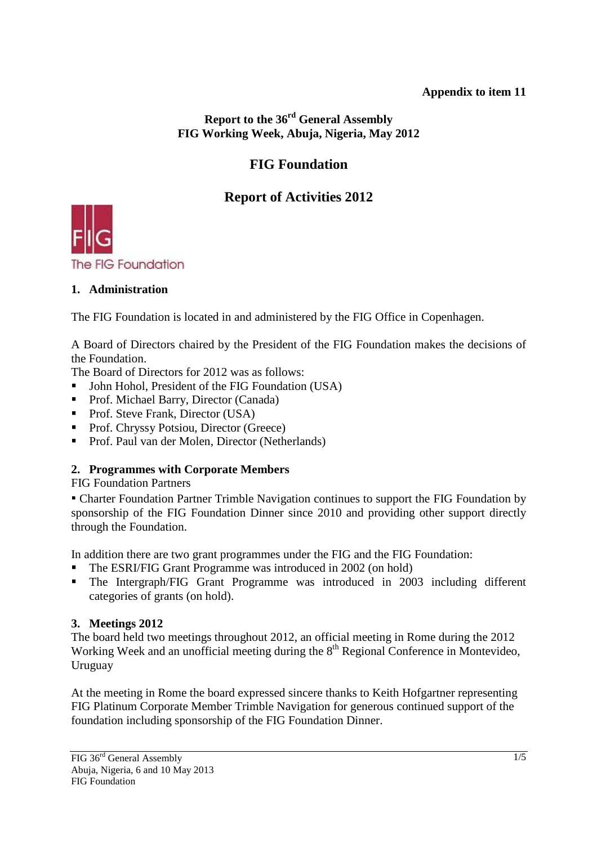# **Appendix to item 11**

**Report to the 36rd General Assembly FIG Working Week, Abuja, Nigeria, May 2012** 

# **FIG Foundation**

# **Report of Activities 2012**



## **1. Administration**

The FIG Foundation is located in and administered by the FIG Office in Copenhagen.

A Board of Directors chaired by the President of the FIG Foundation makes the decisions of the Foundation.

The Board of Directors for 2012 was as follows:

- John Hohol, President of the FIG Foundation (USA)
- Prof. Michael Barry, Director (Canada)
- Prof. Steve Frank, Director (USA)
- **Prof. Chryssy Potsiou, Director (Greece)**
- Prof. Paul van der Molen, Director (Netherlands)

# **2. Programmes with Corporate Members**

FIG Foundation Partners

▪ Charter Foundation Partner Trimble Navigation continues to support the FIG Foundation by sponsorship of the FIG Foundation Dinner since 2010 and providing other support directly through the Foundation.

In addition there are two grant programmes under the FIG and the FIG Foundation:

- The ESRI/FIG Grant Programme was introduced in 2002 (on hold)
- The Intergraph/FIG Grant Programme was introduced in 2003 including different categories of grants (on hold).

## **3. Meetings 2012**

The board held two meetings throughout 2012, an official meeting in Rome during the 2012 Working Week and an unofficial meeting during the 8<sup>th</sup> Regional Conference in Montevideo, Uruguay

At the meeting in Rome the board expressed sincere thanks to Keith Hofgartner representing FIG Platinum Corporate Member Trimble Navigation for generous continued support of the foundation including sponsorship of the FIG Foundation Dinner.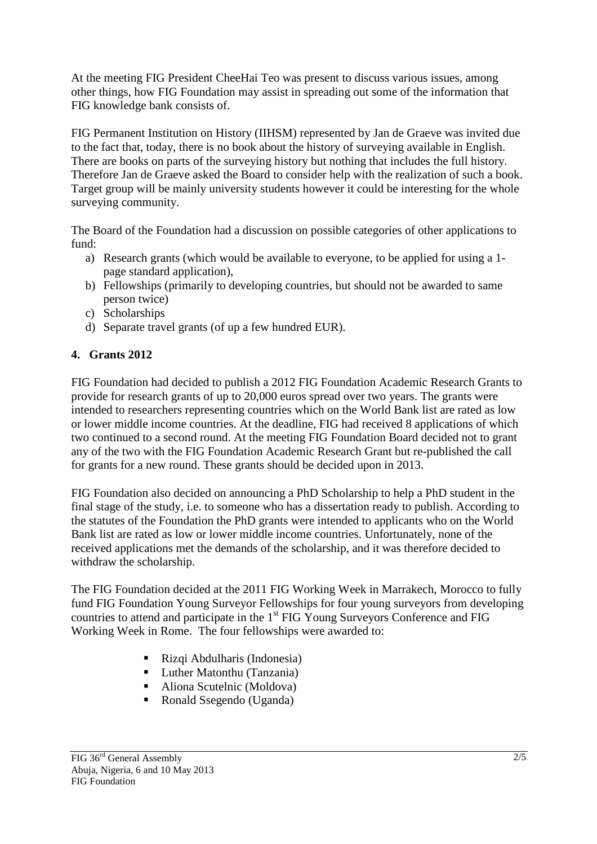At the meeting FIG President CheeHai Teo was present to discuss various issues, among other things, how FIG Foundation may assist in spreading out some of the information that FIG knowledge bank consists of.

FIG Permanent Institution on History (IIHSM) represented by Jan de Graeve was invited due to the fact that, today, there is no book about the history of surveying available in English. There are books on parts of the surveying history but nothing that includes the full history. Therefore Jan de Graeve asked the Board to consider help with the realization of such a book. Target group will be mainly university students however it could be interesting for the whole surveying community.

The Board of the Foundation had a discussion on possible categories of other applications to fund:

- a) Research grants (which would be available to everyone, to be applied for using a 1 page standard application),
- b) Fellowships (primarily to developing countries, but should not be awarded to same person twice)
- c) Scholarships
- d) Separate travel grants (of up a few hundred EUR).

# **4. Grants 2012**

FIG Foundation had decided to publish a 2012 FIG Foundation Academic Research Grants to provide for research grants of up to 20,000 euros spread over two years. The grants were intended to researchers representing countries which on the World Bank list are rated as low or lower middle income countries. At the deadline, FIG had received 8 applications of which two continued to a second round. At the meeting FIG Foundation Board decided not to grant any of the two with the FIG Foundation Academic Research Grant but re-published the call for grants for a new round. These grants should be decided upon in 2013.

FIG Foundation also decided on announcing a PhD Scholarship to help a PhD student in the final stage of the study, i.e. to someone who has a dissertation ready to publish. According to the statutes of the Foundation the PhD grants were intended to applicants who on the World Bank list are rated as low or lower middle income countries. Unfortunately, none of the received applications met the demands of the scholarship, and it was therefore decided to withdraw the scholarship.

The FIG Foundation decided at the 2011 FIG Working Week in Marrakech, Morocco to fully fund FIG Foundation Young Surveyor Fellowships for four young surveyors from developing countries to attend and participate in the 1<sup>st</sup> FIG Young Surveyors Conference and FIG Working Week in Rome. The four fellowships were awarded to:

- Rizqi Abdulharis (Indonesia)
- **Luther Matonthu (Tanzania)**
- Aliona Scutelnic (Moldova)
- Ronald Ssegendo (Uganda)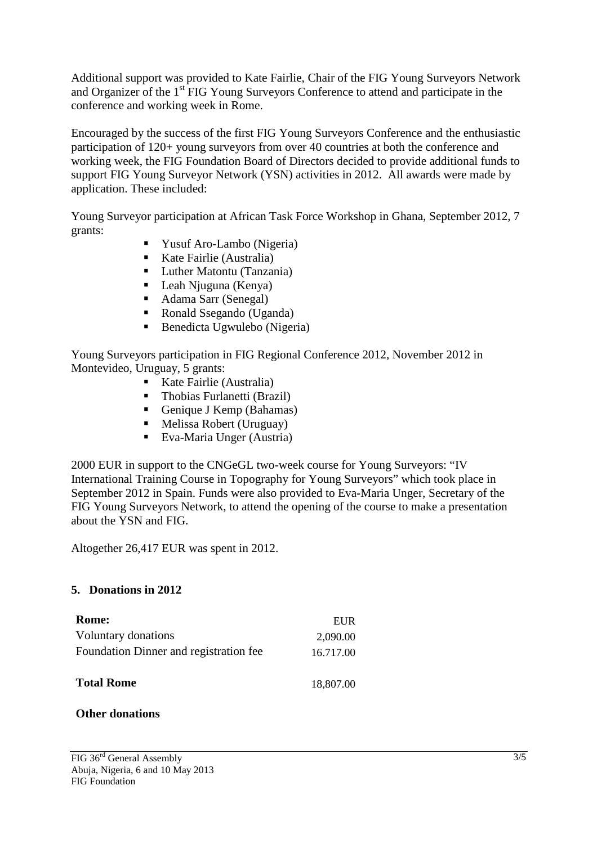Additional support was provided to Kate Fairlie, Chair of the FIG Young Surveyors Network and Organizer of the 1<sup>st</sup> FIG Young Surveyors Conference to attend and participate in the conference and working week in Rome.

Encouraged by the success of the first FIG Young Surveyors Conference and the enthusiastic participation of 120+ young surveyors from over 40 countries at both the conference and working week, the FIG Foundation Board of Directors decided to provide additional funds to support FIG Young Surveyor Network (YSN) activities in 2012. All awards were made by application. These included:

Young Surveyor participation at African Task Force Workshop in Ghana, September 2012, 7 grants:

- Yusuf Aro-Lambo (Nigeria)
- Kate Fairlie (Australia)
- Luther Matontu (Tanzania)
- Leah Njuguna (Kenya)
- Adama Sarr (Senegal)
- Ronald Ssegando (Uganda)
- Benedicta Ugwulebo (Nigeria)

Young Surveyors participation in FIG Regional Conference 2012, November 2012 in Montevideo, Uruguay, 5 grants:

- **Kate Fairlie (Australia)**
- Thobias Furlanetti (Brazil)
- Genique J Kemp (Bahamas)
- Melissa Robert (Uruguay)
- Eva-Maria Unger (Austria)

2000 EUR in support to the CNGeGL two-week course for Young Surveyors: "IV International Training Course in Topography for Young Surveyors" which took place in September 2012 in Spain. Funds were also provided to Eva-Maria Unger, Secretary of the FIG Young Surveyors Network, to attend the opening of the course to make a presentation about the YSN and FIG.

Altogether 26,417 EUR was spent in 2012.

#### **5. Donations in 2012**

| Rome:                                  | EUR       |
|----------------------------------------|-----------|
| Voluntary donations                    | 2,090.00  |
| Foundation Dinner and registration fee | 16.717.00 |
| <b>Total Rome</b>                      | 18,807.00 |

#### **Other donations**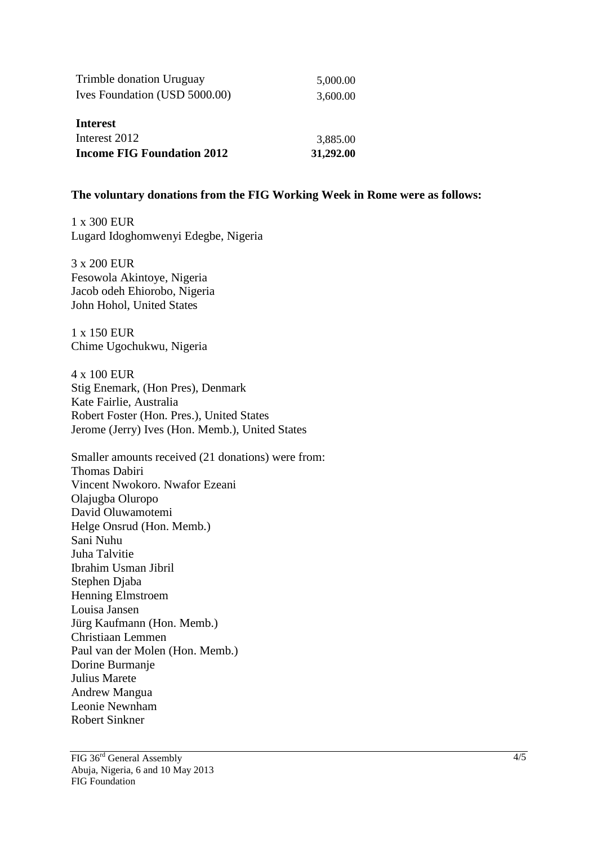| Trimble donation Uruguay          | 5,000.00  |
|-----------------------------------|-----------|
| Ives Foundation (USD 5000.00)     | 3,600.00  |
| Interest                          |           |
| Interest 2012                     | 3,885.00  |
| <b>Income FIG Foundation 2012</b> | 31,292.00 |

#### **The voluntary donations from the FIG Working Week in Rome were as follows:**

1 x 300 EUR Lugard Idoghomwenyi Edegbe, Nigeria

3 x 200 EUR Fesowola Akintoye, Nigeria Jacob odeh Ehiorobo, Nigeria John Hohol, United States

1 x 150 EUR Chime Ugochukwu, Nigeria

4 x 100 EUR Stig Enemark, (Hon Pres), Denmark Kate Fairlie, Australia Robert Foster (Hon. Pres.), United States Jerome (Jerry) Ives (Hon. Memb.), United States

Smaller amounts received (21 donations) were from: Thomas Dabiri Vincent Nwokoro. Nwafor Ezeani Olajugba Oluropo David Oluwamotemi Helge Onsrud (Hon. Memb.) Sani Nuhu Juha Talvitie Ibrahim Usman Jibril Stephen Djaba Henning Elmstroem Louisa Jansen Jürg Kaufmann (Hon. Memb.) Christiaan Lemmen Paul van der Molen (Hon. Memb.) Dorine Burmanje Julius Marete Andrew Mangua Leonie Newnham Robert Sinkner

FIG 36rd General Assembly Abuja, Nigeria, 6 and 10 May 2013 FIG Foundation